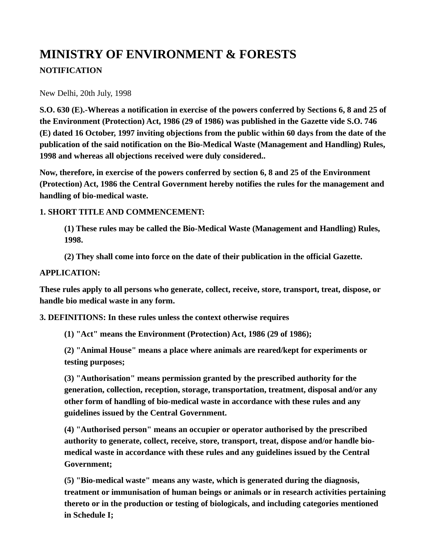# **MINISTRY OF ENVIRONMENT & FORESTS NOTIFICATION**

New Delhi, 20th July, 1998

**S.O. 630 (E).-Whereas a notification in exercise of the powers conferred by Sections 6, 8 and 25 of the Environment (Protection) Act, 1986 (29 of 1986) was published in the Gazette vide S.O. 746 (E) dated 16 October, 1997 inviting objections from the public within 60 days from the date of the publication of the said notification on the Bio-Medical Waste (Management and Handling) Rules, 1998 and whereas all objections received were duly considered..** 

**Now, therefore, in exercise of the powers conferred by section 6, 8 and 25 of the Environment (Protection) Act, 1986 the Central Government hereby notifies the rules for the management and handling of bio-medical waste.** 

## **1. SHORT TITLE AND COMMENCEMENT:**

**(1) These rules may be called the Bio-Medical Waste (Management and Handling) Rules, 1998.** 

**(2) They shall come into force on the date of their publication in the official Gazette.** 

## **APPLICATION:**

**These rules apply to all persons who generate, collect, receive, store, transport, treat, dispose, or handle bio medical waste in any form.** 

**3. DEFINITIONS: In these rules unless the context otherwise requires** 

**(1) "Act" means the Environment (Protection) Act, 1986 (29 of 1986);** 

**(2) "Animal House" means a place where animals are reared/kept for experiments or testing purposes;** 

**(3) "Authorisation" means permission granted by the prescribed authority for the generation, collection, reception, storage, transportation, treatment, disposal and/or any other form of handling of bio-medical waste in accordance with these rules and any guidelines issued by the Central Government.** 

**(4) "Authorised person" means an occupier or operator authorised by the prescribed authority to generate, collect, receive, store, transport, treat, dispose and/or handle biomedical waste in accordance with these rules and any guidelines issued by the Central Government;** 

**(5) "Bio-medical waste" means any waste, which is generated during the diagnosis, treatment or immunisation of human beings or animals or in research activities pertaining thereto or in the production or testing of biologicals, and including categories mentioned in Schedule I;**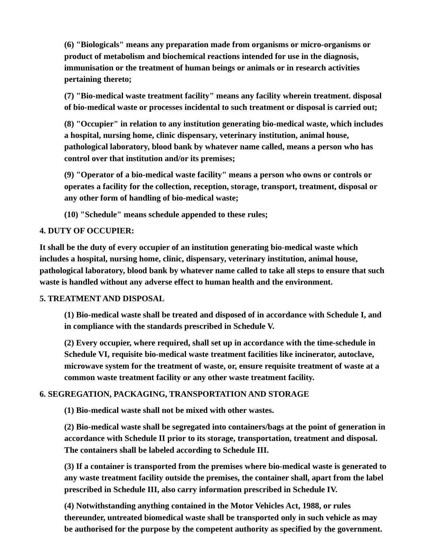**(6) "Biologicals" means any preparation made from organisms or micro-organisms or product of metabolism and biochemical reactions intended for use in the diagnosis, immunisation or the treatment of human beings or animals or in research activities pertaining thereto;** 

**(7) "Bio-medical waste treatment facility" means any facility wherein treatment. disposal of bio-medical waste or processes incidental to such treatment or disposal is carried out;** 

**(8) "Occupier" in relation to any institution generating bio-medical waste, which includes a hospital, nursing home, clinic dispensary, veterinary institution, animal house, pathological laboratory, blood bank by whatever name called, means a person who has control over that institution and/or its premises;** 

**(9) "Operator of a bio-medical waste facility" means a person who owns or controls or operates a facility for the collection, reception, storage, transport, treatment, disposal or any other form of handling of bio-medical waste;** 

**(10) "Schedule" means schedule appended to these rules;** 

## **4. DUTY OF OCCUPIER:**

**It shall be the duty of every occupier of an institution generating bio-medical waste which includes a hospital, nursing home, clinic, dispensary, veterinary institution, animal house, pathological laboratory, blood bank by whatever name called to take all steps to ensure that such waste is handled without any adverse effect to human health and the environment.** 

## **5. TREATMENT AND DISPOSAL**

**(1) Bio-medical waste shall be treated and disposed of in accordance with Schedule I, and in compliance with the standards prescribed in Schedule V.** 

**(2) Every occupier, where required, shall set up in accordance with the time-schedule in Schedule VI, requisite bio-medical waste treatment facilities like incinerator, autoclave, microwave system for the treatment of waste, or, ensure requisite treatment of waste at a common waste treatment facility or any other waste treatment facility.** 

# **6. SEGREGATION, PACKAGING, TRANSPORTATION AND STORAGE**

**(1) Bio-medical waste shall not be mixed with other wastes.** 

**(2) Bio-medical waste shall be segregated into containers/bags at the point of generation in accordance with Schedule II prior to its storage, transportation, treatment and disposal. The containers shall be labeled according to Schedule III.** 

**(3) If a container is transported from the premises where bio-medical waste is generated to any waste treatment facility outside the premises, the container shall, apart from the label prescribed in Schedule III, also carry information prescribed in Schedule IV.** 

**(4) Notwithstanding anything contained in the Motor Vehicles Act, 1988, or rules thereunder, untreated biomedical waste shall be transported only in such vehicle as may be authorised for the purpose by the competent authority as specified by the government.**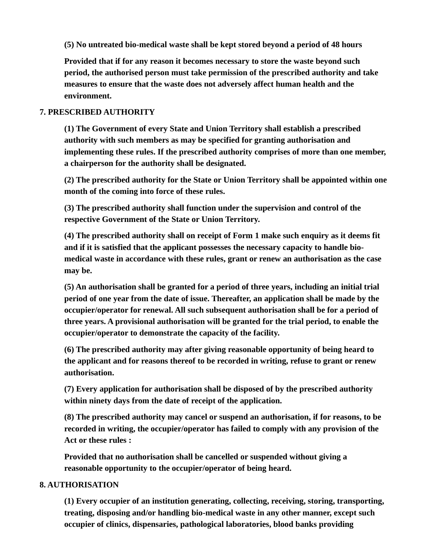**(5) No untreated bio-medical waste shall be kept stored beyond a period of 48 hours** 

**Provided that if for any reason it becomes necessary to store the waste beyond such period, the authorised person must take permission of the prescribed authority and take measures to ensure that the waste does not adversely affect human health and the environment.** 

## **7. PRESCRIBED AUTHORITY**

**(1) The Government of every State and Union Territory shall establish a prescribed authority with such members as may be specified for granting authorisation and implementing these rules. If the prescribed authority comprises of more than one member, a chairperson for the authority shall be designated.** 

**(2) The prescribed authority for the State or Union Territory shall be appointed within one month of the coming into force of these rules.** 

**(3) The prescribed authority shall function under the supervision and control of the respective Government of the State or Union Territory.** 

**(4) The prescribed authority shall on receipt of Form 1 make such enquiry as it deems fit and if it is satisfied that the applicant possesses the necessary capacity to handle biomedical waste in accordance with these rules, grant or renew an authorisation as the case may be.** 

**(5) An authorisation shall be granted for a period of three years, including an initial trial period of one year from the date of issue. Thereafter, an application shall be made by the occupier/operator for renewal. All such subsequent authorisation shall be for a period of three years. A provisional authorisation will be granted for the trial period, to enable the occupier/operator to demonstrate the capacity of the facility.** 

**(6) The prescribed authority may after giving reasonable opportunity of being heard to the applicant and for reasons thereof to be recorded in writing, refuse to grant or renew authorisation.** 

**(7) Every application for authorisation shall be disposed of by the prescribed authority within ninety days from the date of receipt of the application.** 

**(8) The prescribed authority may cancel or suspend an authorisation, if for reasons, to be recorded in writing, the occupier/operator has failed to comply with any provision of the Act or these rules :** 

**Provided that no authorisation shall be cancelled or suspended without giving a reasonable opportunity to the occupier/operator of being heard.** 

## **8. AUTHORISATION**

**(1) Every occupier of an institution generating, collecting, receiving, storing, transporting, treating, disposing and/or handling bio-medical waste in any other manner, except such occupier of clinics, dispensaries, pathological laboratories, blood banks providing**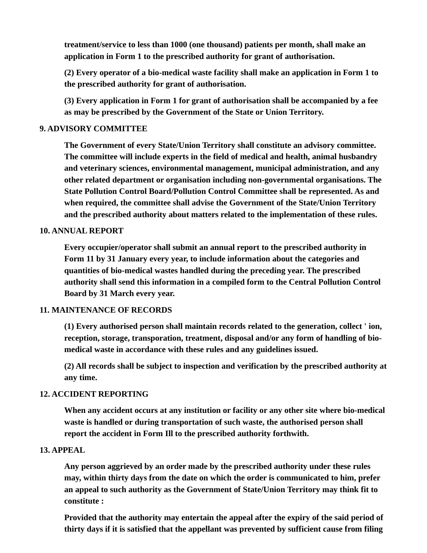**treatment/service to less than 1000 (one thousand) patients per month, shall make an application in Form 1 to the prescribed authority for grant of authorisation.** 

**(2) Every operator of a bio-medical waste facility shall make an application in Form 1 to the prescribed authority for grant of authorisation.** 

**(3) Every application in Form 1 for grant of authorisation shall be accompanied by a fee as may be prescribed by the Government of the State or Union Territory.** 

#### **9. ADVISORY COMMITTEE**

**The Government of every State/Union Territory shall constitute an advisory committee. The committee will include experts in the field of medical and health, animal husbandry and veterinary sciences, environmental management, municipal administration, and any other related department or organisation including non-governmental organisations. The State Pollution Control Board/Pollution Control Committee shall be represented. As and when required, the committee shall advise the Government of the State/Union Territory and the prescribed authority about matters related to the implementation of these rules.** 

#### **10. ANNUAL REPORT**

**Every occupier/operator shall submit an annual report to the prescribed authority in Form 11 by 31 January every year, to include information about the categories and quantities of bio-medical wastes handled during the preceding year. The prescribed authority shall send this information in a compiled form to the Central Pollution Control Board by 31 March every year.** 

#### **11. MAINTENANCE OF RECORDS**

**(1) Every authorised person shall maintain records related to the generation, collect ' ion, reception, storage, transporation, treatment, disposal and/or any form of handling of biomedical waste in accordance with these rules and any guidelines issued.** 

**(2) All records shall be subject to inspection and verification by the prescribed authority at any time.** 

#### **12. ACCIDENT REPORTING**

**When any accident occurs at any institution or facility or any other site where bio-medical waste is handled or during transportation of such waste, the authorised person shall report the accident in Form Ill to the prescribed authority forthwith.** 

#### **13. APPEAL**

**Any person aggrieved by an order made by the prescribed authority under these rules may, within thirty days from the date on which the order is communicated to him, prefer an appeal to such authority as the Government of State/Union Territory may think fit to constitute :** 

**Provided that the authority may entertain the appeal after the expiry of the said period of thirty days if it is satisfied that the appellant was prevented by sufficient cause from filing**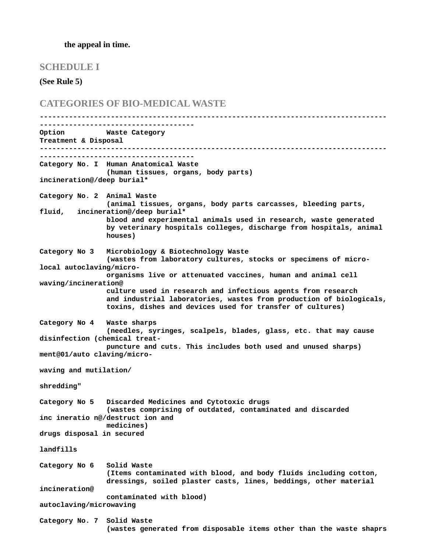#### **the appeal in time.**

#### **SCHEDULE I**

**(See Rule 5)**

**CATEGORIES OF BIO-MEDICAL WASTE ----------------------------------------------------------------------------------- ------------------------------------- Option Waste Category Treatment & Disposal ----------------------------------------------------------------------------------- ------------------------------------- Category No. I Human Anatomical Waste (human tissues, organs, body parts) incineration@/deep burial\* Category No. 2 Animal Waste (animal tissues, organs, body parts carcasses, bleeding parts, fluid, incineration@/deep burial\* blood and experimental animals used in research, waste generated by veterinary hospitals colleges, discharge from hospitals, animal houses) Category No 3 Microbiology & Biotechnology Waste (wastes from laboratory cultures, stocks or specimens of microlocal autoclaving/micro organisms live or attenuated vaccines, human and animal cell waving/incineration@ culture used in research and infectious agents from research and industrial laboratories, wastes from production of biologicals, toxins, dishes and devices used for transfer of cultures) Category No 4 Waste sharps (needles, syringes, scalpels, blades, glass, etc. that may cause disinfection (chemical treat puncture and cuts. This includes both used and unused sharps) ment@01/auto claving/micro waving and mutilation/ shredding" Category No 5 Discarded Medicines and Cytotoxic drugs (wastes comprising of outdated, contaminated and discarded inc ineratio n@/destruct ion and medicines) drugs disposal in secured landfills Category No 6 Solid Waste (Items contaminated with blood, and body fluids including cotton, dressings, soiled plaster casts, lines, beddings, other material incineration@ contaminated with blood) autoclaving/microwaving Category No. 7 Solid Waste**

**(wastes generated from disposable items other than the waste shaprs**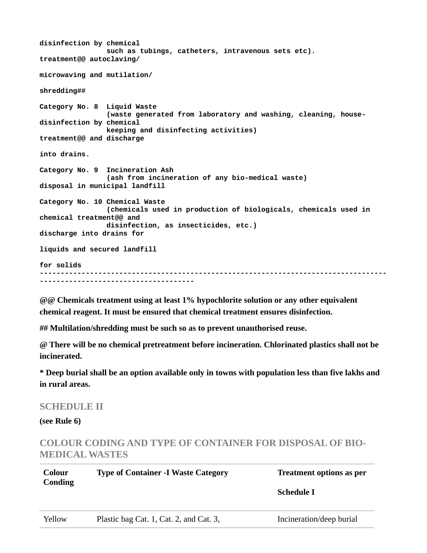```
disinfection by chemical
                 such as tubings, catheters, intravenous sets etc). 
treatment@@ autoclaving/
microwaving and mutilation/
shredding##
Category No. 8 Liquid Waste
                 (waste generated from laboratory and washing, cleaning, house-
disinfection by chemical
                 keeping and disinfecting activities) 
treatment@@ and discharge
into drains.
Category No. 9 Incineration Ash
                 (ash from incineration of any bio-medical waste) 
disposal in municipal landfill
Category No. 10 Chemical Waste
                 (chemicals used in production of biologicals, chemicals used in 
chemical treatment@@ and
                 disinfection, as insecticides, etc.) 
discharge into drains for
liquids and secured landfill
for solids
-----------------------------------------------------------------------------------
   -------------------------------------
```
**@@ Chemicals treatment using at least 1% hypochlorite solution or any other equivalent chemical reagent. It must be ensured that chemical treatment ensures disinfection.** 

**## Multilation/shredding must be such so as to prevent unauthorised reuse.** 

**@ There will be no chemical pretreatment before incineration. Chlorinated plastics shall not be incinerated.** 

**\* Deep burial shall be an option available only in towns with population less than five lakhs and in rural areas.** 

## **SCHEDULE II**

**(see Rule 6)**

# **COLOUR CODING AND TYPE OF CONTAINER FOR DISPOSAL OF BIO-MEDICAL WASTES**

| Colour<br>Conding | <b>Type of Container -I Waste Category</b> | <b>Treatment options as per</b><br>Schedule I |
|-------------------|--------------------------------------------|-----------------------------------------------|
| Yellow            | Plastic bag Cat. 1, Cat. 2, and Cat. 3,    | Incineration/deep burial                      |
|                   |                                            |                                               |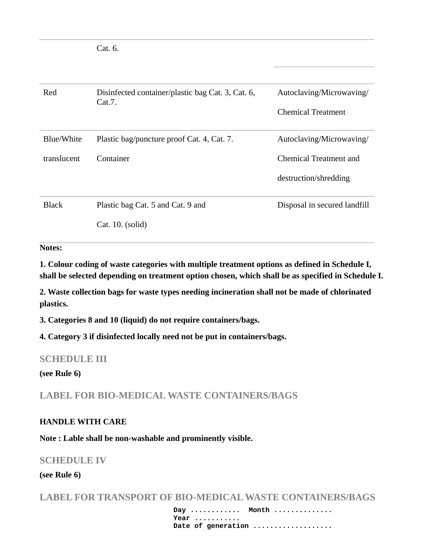Cat. 6.

| Red          | Disinfected container/plastic bag Cat. 3, Cat. 6,<br>Cat.7. | Autoclaving/Microwaving/     |  |  |  |
|--------------|-------------------------------------------------------------|------------------------------|--|--|--|
|              |                                                             | Chemical Treatment           |  |  |  |
| Blue/White   | Plastic bag/puncture proof Cat. 4, Cat. 7.                  | Autoclaving/Microwaving/     |  |  |  |
| translucent  | Container                                                   | Chemical Treatment and       |  |  |  |
|              |                                                             | destruction/shredding        |  |  |  |
| <b>Black</b> | Plastic bag Cat. 5 and Cat. 9 and                           | Disposal in secured landfill |  |  |  |
|              | Cat. 10. (solid)                                            |                              |  |  |  |

#### **Notes:**

**1. Colour coding of waste categories with multiple treatment options as defined in Schedule I, shall be selected depending on treatment option chosen, which shall be as specified in Schedule I.** 

**2. Waste collection bags for waste types needing incineration shall not be made of chlorinated plastics.** 

**3. Categories 8 and 10 (liquid) do not require containers/bags.** 

**4. Category 3 if disinfected locally need not be put in containers/bags.** 

## **SCHEDULE III**

#### **(see Rule 6)**

**LABEL FOR BIO-MEDICAL WASTE CONTAINERS/BAGS**

#### **HANDLE WITH CARE**

**Note : Lable shall be non-washable and prominently visible.** 

# **SCHEDULE IV**

## **(see Rule 6)**

**LABEL FOR TRANSPORT OF BIO-MEDICAL WASTE CONTAINERS/BAGS**

 **Day ............ Month .............. Year ...........** Date of generation ...................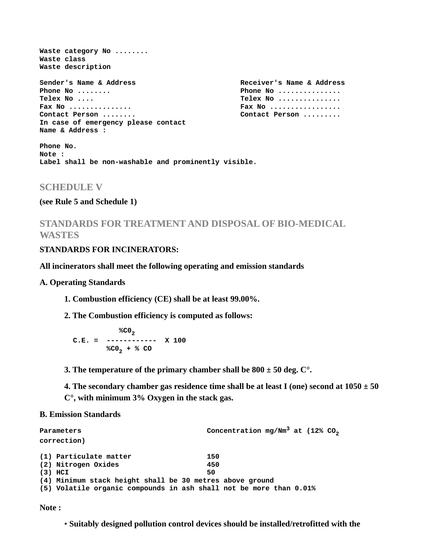**Waste category No ........ Waste class Waste description** Sender's Name & Address **Receiver's Name & Address Phone No ........** 2. **Phone No ............. Telex No .... Telex No ............... Fax No ............... Fax No .................** Contact Person ........ **In case of emergency please contact Name & Address :**

**Phone No. Note : Label shall be non-washable and prominently visible.**

#### **SCHEDULE V**

#### **(see Rule 5 and Schedule 1)**

**STANDARDS FOR TREATMENT AND DISPOSAL OF BIO-MEDICAL WASTES**

#### **STANDARDS FOR INCINERATORS:**

#### **All incinerators shall meet the following operating and emission standards**

#### **A. Operating Standards**

- **1. Combustion efficiency (CE) shall be at least 99.00%.**
- **2. The Combustion efficiency is computed as follows:**

$$
C.E. = \begin{array}{c} \n% CO_{2} \\
C.E. = \n% CO_{2} + % CO\n\end{array} \quad X 100
$$

**3. The temperature of the primary chamber shall be 800 ± 50 deg. C°.** 

**4. The secondary chamber gas residence time shall be at least I (one) second at 1050 ± 50 C°, with minimum 3% Oxygen in the stack gas.** 

#### **B. Emission Standards**

| Parameters |                                                                    |     | Concentration mg/Nm <sup>3</sup> at (12% CO <sub>2</sub> |  |  |
|------------|--------------------------------------------------------------------|-----|----------------------------------------------------------|--|--|
|            | correction)                                                        |     |                                                          |  |  |
|            | (1) Particulate matter                                             | 150 |                                                          |  |  |
|            | (2) Nitrogen Oxides                                                | 450 |                                                          |  |  |
|            | $(3)$ HCI                                                          | 50  |                                                          |  |  |
|            | (4) Minimum stack height shall be 30 metres above ground           |     |                                                          |  |  |
|            | (5) Volatile organic compounds in ash shall not be more than 0.01% |     |                                                          |  |  |

**Note :** 

• **Suitably designed pollution control devices should be installed/retrofitted with the**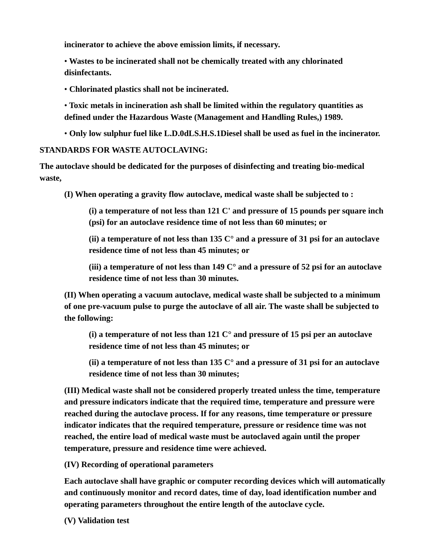**incinerator to achieve the above emission limits, if necessary.** 

• **Wastes to be incinerated shall not be chemically treated with any chlorinated disinfectants.** 

• **Chlorinated plastics shall not be incinerated.** 

• **Toxic metals in incineration ash shall be limited within the regulatory quantities as defined under the Hazardous Waste (Management and Handling Rules,) 1989.** 

• **Only low sulphur fuel like L.D.0dLS.H.S.1Diesel shall be used as fuel in the incinerator.** 

## **STANDARDS FOR WASTE AUTOCLAVING:**

**The autoclave should be dedicated for the purposes of disinfecting and treating bio-medical waste,** 

**(I) When operating a gravity flow autoclave, medical waste shall be subjected to :** 

**(i) a temperature of not less than 121 C' and pressure of 15 pounds per square inch (psi) for an autoclave residence time of not less than 60 minutes; or** 

**(ii) a temperature of not less than 135 C° and a pressure of 31 psi for an autoclave residence time of not less than 45 minutes; or** 

**(iii) a temperature of not less than 149 C° and a pressure of 52 psi for an autoclave residence time of not less than 30 minutes.** 

**(II) When operating a vacuum autoclave, medical waste shall be subjected to a minimum of one pre-vacuum pulse to purge the autoclave of all air. The waste shall be subjected to the following:** 

**(i) a temperature of not less than 121 C° and pressure of 15 psi per an autoclave residence time of not less than 45 minutes; or** 

**(ii) a temperature of not less than 135 C° and a pressure of 31 psi for an autoclave residence time of not less than 30 minutes;** 

**(III) Medical waste shall not be considered properly treated unless the time, temperature and pressure indicators indicate that the required time, temperature and pressure were reached during the autoclave process. If for any reasons, time temperature or pressure indicator indicates that the required temperature, pressure or residence time was not reached, the entire load of medical waste must be autoclaved again until the proper temperature, pressure and residence time were achieved.** 

**(IV) Recording of operational parameters** 

**Each autoclave shall have graphic or computer recording devices which will automatically and continuously monitor and record dates, time of day, load identification number and operating parameters throughout the entire length of the autoclave cycle.** 

**(V) Validation test**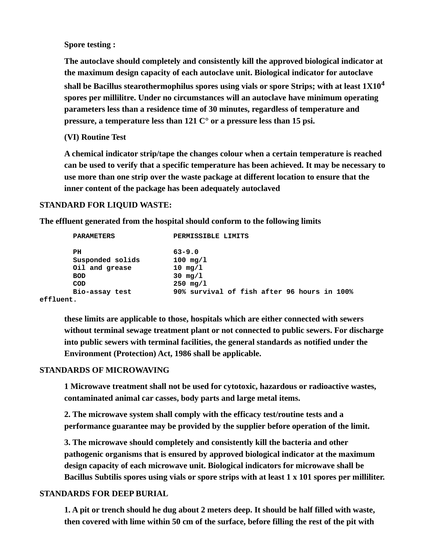**Spore testing :** 

**The autoclave should completely and consistently kill the approved biological indicator at the maximum design capacity of each autoclave unit. Biological indicator for autoclave shall be Bacillus stearothermophilus spores using vials or spore Strips; with at least 1X10<sup>4</sup> spores per millilitre. Under no circumstances will an autoclave have minimum operating parameters less than a residence time of 30 minutes, regardless of temperature and pressure, a temperature less than 121 C° or a pressure less than 15 psi.** 

**(VI) Routine Test** 

**A chemical indicator strip/tape the changes colour when a certain temperature is reached can be used to verify that a specific temperature has been achieved. It may be necessary to use more than one strip over the waste package at different location to ensure that the inner content of the package has been adequately autoclaved** 

#### **STANDARD FOR LIQUID WASTE:**

**The effluent generated from the hospital should conform to the following limits** 

| <b>PARAMETERS</b>    | PERMISSIBLE LIMITS                          |
|----------------------|---------------------------------------------|
| PН                   | $63 - 9.0$                                  |
| Susponded solids     | $100$ mg/l                                  |
| Oil and grease       | 10 $mg/1$                                   |
| <b>BOD</b>           | $30 \, \text{mg}/1$                         |
| <b>COD</b>           | $250$ mg/1                                  |
| Bio-assay test       | 90% survival of fish after 96 hours in 100% |
| $\sim$ ffl $\sim$ m+ |                                             |

**effluent.**

**these limits are applicable to those, hospitals which are either connected with sewers without terminal sewage treatment plant or not connected to public sewers. For discharge into public sewers with terminal facilities, the general standards as notified under the Environment (Protection) Act, 1986 shall be applicable.** 

#### **STANDARDS OF MICROWAVING**

**1 Microwave treatment shall not be used for cytotoxic, hazardous or radioactive wastes, contaminated animal car casses, body parts and large metal items.** 

**2. The microwave system shall comply with the efficacy test/routine tests and a performance guarantee may be provided by the supplier before operation of the limit.** 

**3. The microwave should completely and consistently kill the bacteria and other pathogenic organisms that is ensured by approved biological indicator at the maximum design capacity of each microwave unit. Biological indicators for microwave shall be Bacillus Subtilis spores using vials or spore strips with at least 1 x 101 spores per milliliter.** 

#### **STANDARDS FOR DEEP BURIAL**

**1. A pit or trench should he dug about 2 meters deep. It should be half filled with waste, then covered with lime within 50 cm of the surface, before filling the rest of the pit with**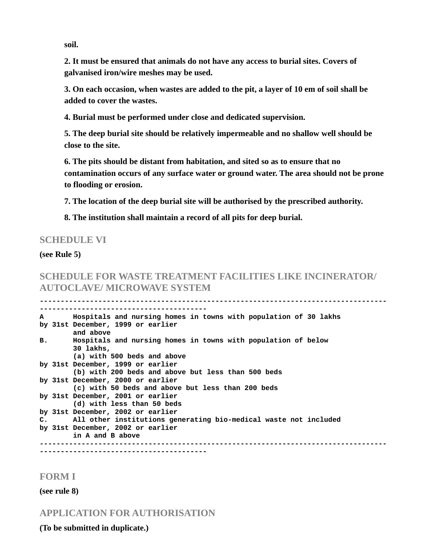**soil.** 

**2. It must be ensured that animals do not have any access to burial sites. Covers of galvanised iron/wire meshes may be used.** 

**3. On each occasion, when wastes are added to the pit, a layer of 10 em of soil shall be added to cover the wastes.** 

**4. Burial must be performed under close and dedicated supervision.** 

**5. The deep burial site should be relatively impermeable and no shallow well should be close to the site.** 

**6. The pits should be distant from habitation, and sited so as to ensure that no contamination occurs of any surface water or ground water. The area should not be prone to flooding or erosion.** 

**7. The location of the deep burial site will be authorised by the prescribed authority.** 

**8. The institution shall maintain a record of all pits for deep burial.** 

## **SCHEDULE VI**

#### **(see Rule 5)**

# **SCHEDULE FOR WASTE TREATMENT FACILITIES LIKE INCINERATOR/ AUTOCLAVE/ MICROWAVE SYSTEM**

**-----------------------------------------------------------------------------------**

| A         |                | Hospitals and nursing homes in towns with population of 30 lakhs           |
|-----------|----------------|----------------------------------------------------------------------------|
|           |                | by 31st December, 1999 or earlier<br>and above                             |
| <b>B.</b> |                | Hospitals and nursing homes in towns with population of below<br>30 lakhs, |
|           |                | (a) with 500 beds and above                                                |
|           |                | by 31st December, 1999 or earlier                                          |
|           |                | (b) with 200 beds and above but less than 500 beds                         |
|           |                | by 31st December, 2000 or earlier                                          |
|           |                | (c) with 50 beds and above but less than 200 beds                          |
|           |                | by 31st December, 2001 or earlier                                          |
|           |                | (d) with less than 50 beds                                                 |
|           |                | by 31st December, 2002 or earlier                                          |
|           | $\mathbf{C}$ . | All other institutions generating bio-medical waste not included           |
|           |                | by 31st December, 2002 or earlier                                          |
|           |                | in A and B above                                                           |
|           |                |                                                                            |
|           |                |                                                                            |

#### **FORM I**

**(see rule 8)**

**APPLICATION FOR AUTHORISATION**

**(To be submitted in duplicate.)**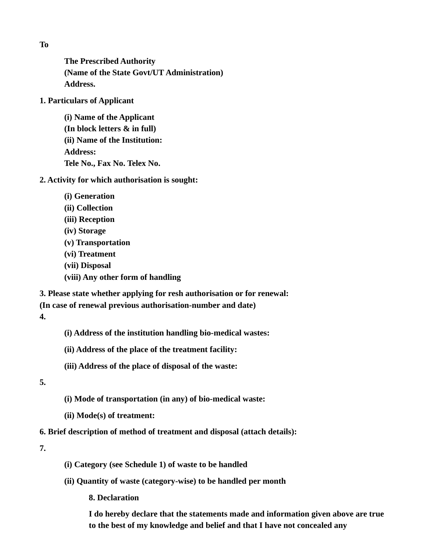**The Prescribed Authority (Name of the State Govt/UT Administration) Address.**

**1. Particulars of Applicant**

**(i) Name of the Applicant (In block letters & in full) (ii) Name of the Institution: Address: Tele No., Fax No. Telex No.**

**2. Activity for which authorisation is sought:**

- **(i) Generation (ii) Collection (iii) Reception (iv) Storage (v) Transportation (vi) Treatment (vii) Disposal**
- **(viii) Any other form of handling**

**3. Please state whether applying for resh authorisation or for renewal: (In case of renewal previous authorisation-number and date) 4.**

**(i) Address of the institution handling bio-medical wastes:** 

**(ii) Address of the place of the treatment facility:** 

**(iii) Address of the place of disposal of the waste:** 

**5.** 

- **(i) Mode of transportation (in any) of bio-medical waste:**
- **(ii) Mode(s) of treatment:**

**6. Brief description of method of treatment and disposal (attach details):** 

**7.** 

- **(i) Category (see Schedule 1) of waste to be handled**
- **(ii) Quantity of waste (category-wise) to be handled per month**

**8. Declaration** 

**I do hereby declare that the statements made and information given above are true to the best of my knowledge and belief and that I have not concealed any** 

**To**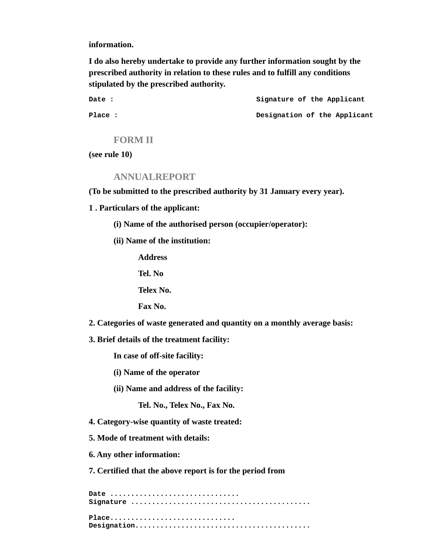**information.** 

**I do also hereby undertake to provide any further information sought by the prescribed authority in relation to these rules and to fulfill any conditions stipulated by the prescribed authority.** 

**Date : Signature of the Applicant** Place : **Designation of the Applicant** 

#### **FORM II**

**(see rule 10)**

#### **ANNUALREPORT**

**(To be submitted to the prescribed authority by 31 January every year).** 

- **1 . Particulars of the applicant:** 
	- **(i) Name of the authorised person (occupier/operator):**
	- **(ii) Name of the institution:**

**Address** 

**Tel. No** 

**Telex No.** 

**Fax No.** 

**2. Categories of waste generated and quantity on a monthly average basis:** 

**3. Brief details of the treatment facility:** 

**In case of off-site facility:** 

**(i) Name of the operator** 

**(ii) Name and address of the facility:** 

**Tel. No., Telex No., Fax No.** 

- **4. Category-wise quantity of waste treated:**
- **5. Mode of treatment with details:**
- **6. Any other information:**

**7. Certified that the above report is for the period from** 

**Date ............................... Signature ........................................... Place.............................. Designation..........................................**